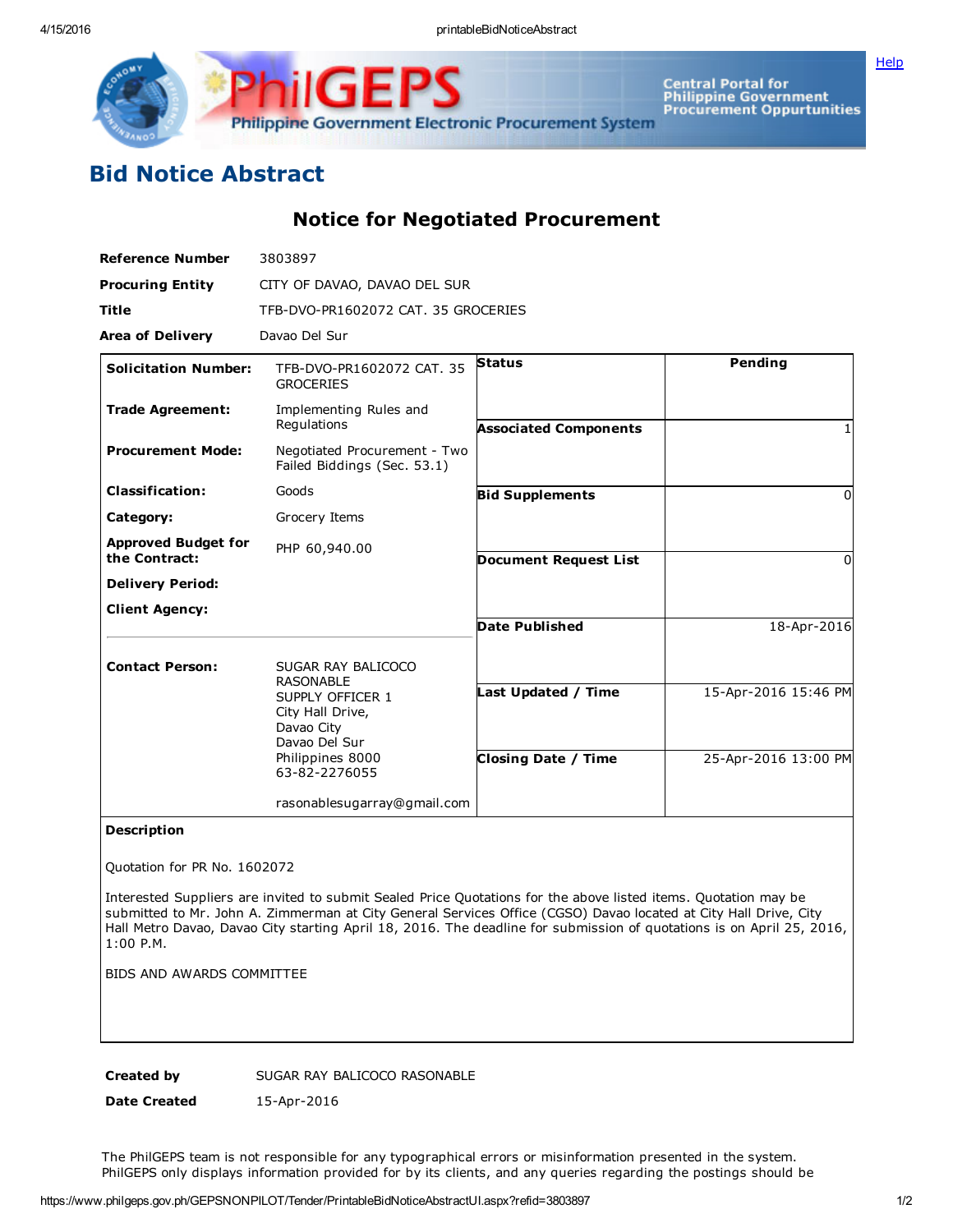

Central Portal for<br>Philippine Government<br>Procurement Oppurtunities Philippine Government Electronic Procurement System

## Bid Notice Abstract

Notice for Negotiated Procurement

GE

| <b>Reference Number</b>                     | 3803897                                                                                                  |                              |                      |
|---------------------------------------------|----------------------------------------------------------------------------------------------------------|------------------------------|----------------------|
| <b>Procuring Entity</b>                     | CITY OF DAVAO, DAVAO DEL SUR                                                                             |                              |                      |
| Title                                       | TFB-DVO-PR1602072 CAT, 35 GROCERIES                                                                      |                              |                      |
| <b>Area of Delivery</b>                     | Davao Del Sur                                                                                            |                              |                      |
| <b>Solicitation Number:</b>                 | TFB-DVO-PR1602072 CAT, 35<br><b>GROCERIES</b>                                                            | <b>Status</b>                | Pending              |
| <b>Trade Agreement:</b>                     | Implementing Rules and<br>Regulations                                                                    | <b>Associated Components</b> |                      |
| <b>Procurement Mode:</b>                    | Negotiated Procurement - Two<br>Failed Biddings (Sec. 53.1)                                              |                              |                      |
| <b>Classification:</b>                      | Goods                                                                                                    | <b>Bid Supplements</b>       | 0                    |
| Category:                                   | Grocery Items                                                                                            |                              |                      |
| <b>Approved Budget for</b><br>the Contract: | PHP 60,940.00                                                                                            | <b>Document Request List</b> | 0                    |
| <b>Delivery Period:</b>                     |                                                                                                          |                              |                      |
| <b>Client Agency:</b>                       |                                                                                                          |                              |                      |
|                                             |                                                                                                          | <b>Date Published</b>        | 18-Apr-2016          |
| <b>Contact Person:</b>                      | SUGAR RAY BALICOCO<br><b>RASONABLE</b>                                                                   |                              |                      |
|                                             | SUPPLY OFFICER 1<br>City Hall Drive,<br>Davao City<br>Davao Del Sur<br>Philippines 8000<br>63-82-2276055 | Last Updated / Time          | 15-Apr-2016 15:46 PM |
|                                             |                                                                                                          | <b>Closing Date / Time</b>   | 25-Apr-2016 13:00 PM |
|                                             | rasonablesugarray@gmail.com                                                                              |                              |                      |

## Description

Quotation for PR No. 1602072

Interested Suppliers are invited to submit Sealed Price Quotations for the above listed items. Quotation may be submitted to Mr. John A. Zimmerman at City General Services Office (CGSO) Davao located at City Hall Drive, City Hall Metro Davao, Davao City starting April 18, 2016. The deadline for submission of quotations is on April 25, 2016, 1:00 P.M.

BIDS AND AWARDS COMMITTEE

Created by SUGAR RAY BALICOCO RASONABLE

Date Created 15-Apr-2016

The PhilGEPS team is not responsible for any typographical errors or misinformation presented in the system. PhilGEPS only displays information provided for by its clients, and any queries regarding the postings should be